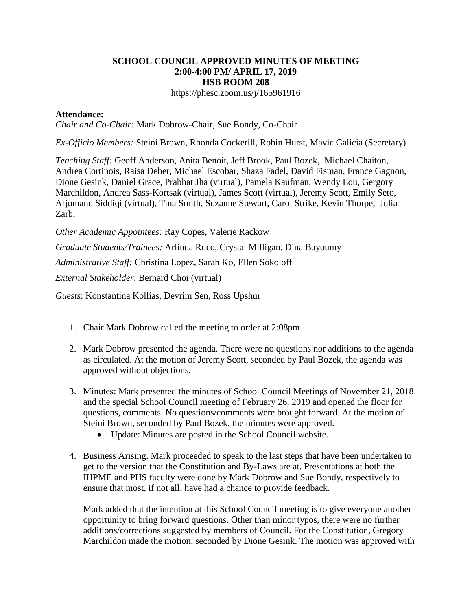## **SCHOOL COUNCIL APPROVED MINUTES OF MEETING 2:00-4:00 PM/ APRIL 17, 2019 HSB ROOM 208**

https://phesc.zoom.us/j/165961916

## **Attendance:**

*Chair and Co-Chair:* Mark Dobrow-Chair, Sue Bondy, Co-Chair

*Ex-Officio Members:* Steini Brown, Rhonda Cockerill, Robin Hurst, Mavic Galicia (Secretary)

*Teaching Staff:* Geoff Anderson, Anita Benoit, Jeff Brook, Paul Bozek, Michael Chaiton, Andrea Cortinois, Raisa Deber, Michael Escobar, Shaza Fadel, David Fisman, France Gagnon, Dione Gesink, Daniel Grace, Prabhat Jha (virtual), Pamela Kaufman, Wendy Lou, Gergory Marchildon, Andrea Sass-Kortsak (virtual), James Scott (virtual), Jeremy Scott, Emily Seto, Arjumand Siddiqi (virtual), Tina Smith, Suzanne Stewart, Carol Strike, Kevin Thorpe, Julia Zarb,

*Other Academic Appointees:* Ray Copes, Valerie Rackow

*Graduate Students/Trainees:* Arlinda Ruco, Crystal Milligan, Dina Bayoumy

*Administrative Staff:* Christina Lopez, Sarah Ko, Ellen Sokoloff

*External Stakeholder*: Bernard Choi (virtual)

*Guests*: Konstantina Kollias, Devrim Sen, Ross Upshur

- 1. Chair Mark Dobrow called the meeting to order at 2:08pm.
- 2. Mark Dobrow presented the agenda. There were no questions nor additions to the agenda as circulated. At the motion of Jeremy Scott, seconded by Paul Bozek, the agenda was approved without objections.
- 3. Minutes: Mark presented the minutes of School Council Meetings of November 21, 2018 and the special School Council meeting of February 26, 2019 and opened the floor for questions, comments. No questions/comments were brought forward. At the motion of Steini Brown, seconded by Paul Bozek, the minutes were approved.
	- Update: Minutes are posted in the School Council website.
- 4. Business Arising. Mark proceeded to speak to the last steps that have been undertaken to get to the version that the Constitution and By-Laws are at. Presentations at both the IHPME and PHS faculty were done by Mark Dobrow and Sue Bondy, respectively to ensure that most, if not all, have had a chance to provide feedback.

Mark added that the intention at this School Council meeting is to give everyone another opportunity to bring forward questions. Other than minor typos, there were no further additions/corrections suggested by members of Council. For the Constitution, Gregory Marchildon made the motion, seconded by Dione Gesink. The motion was approved with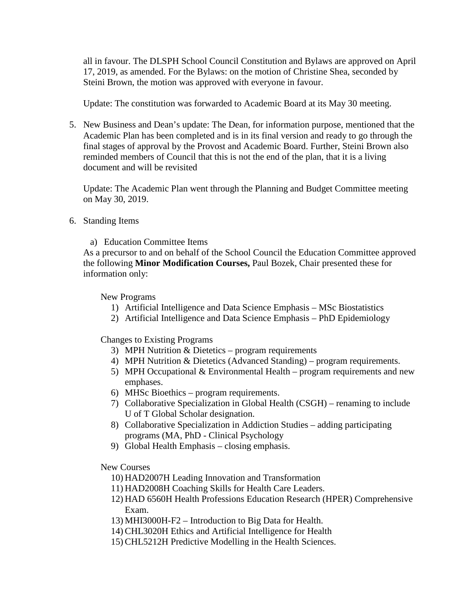all in favour. The DLSPH School Council Constitution and Bylaws are approved on April 17, 2019, as amended. For the Bylaws: on the motion of Christine Shea, seconded by Steini Brown, the motion was approved with everyone in favour.

Update: The constitution was forwarded to Academic Board at its May 30 meeting.

5. New Business and Dean's update: The Dean, for information purpose, mentioned that the Academic Plan has been completed and is in its final version and ready to go through the final stages of approval by the Provost and Academic Board. Further, Steini Brown also reminded members of Council that this is not the end of the plan, that it is a living document and will be revisited

Update: The Academic Plan went through the Planning and Budget Committee meeting on May 30, 2019.

- 6. Standing Items
	- a) Education Committee Items

As a precursor to and on behalf of the School Council the Education Committee approved the following **Minor Modification Courses,** Paul Bozek, Chair presented these for information only:

New Programs

- 1) Artificial Intelligence and Data Science Emphasis MSc Biostatistics
- 2) Artificial Intelligence and Data Science Emphasis PhD Epidemiology

Changes to Existing Programs

- 3) MPH Nutrition & Dietetics program requirements
- 4) MPH Nutrition & Dietetics (Advanced Standing) program requirements.
- 5) MPH Occupational  $& Environmental Health program requirements and new$ emphases.
- 6) MHSc Bioethics program requirements.
- 7) Collaborative Specialization in Global Health (CSGH) renaming to include U of T Global Scholar designation.
- 8) Collaborative Specialization in Addiction Studies adding participating programs (MA, PhD - Clinical Psychology
- 9) Global Health Emphasis closing emphasis.

New Courses

- 10) HAD2007H Leading Innovation and Transformation
- 11) HAD2008H Coaching Skills for Health Care Leaders.
- 12) HAD 6560H Health Professions Education Research (HPER) Comprehensive Exam.
- 13) MHI3000H-F2 Introduction to Big Data for Health.
- 14) CHL3020H Ethics and Artificial Intelligence for Health
- 15) CHL5212H Predictive Modelling in the Health Sciences.